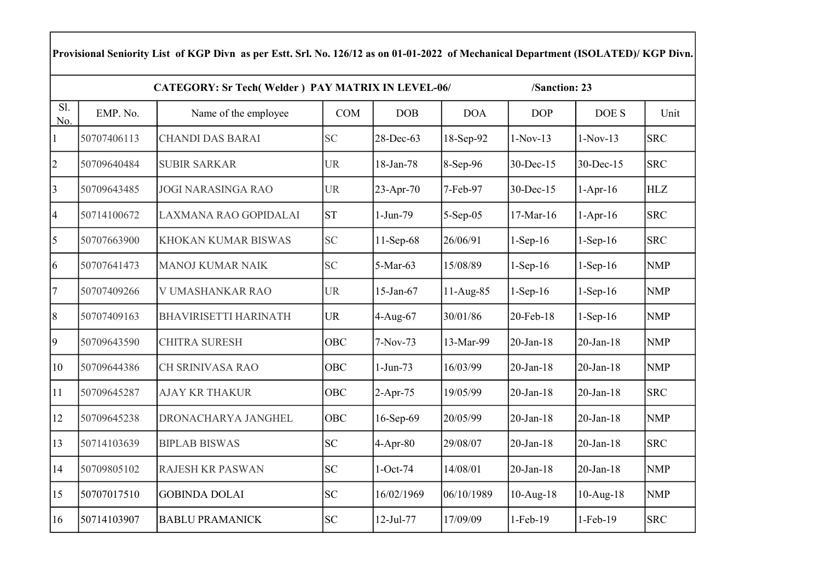| Provisional Seniority List of KGP Divn as per Estt. Srl. No. 126/12 as on 01-01-2022 of Mechanical Department (ISOLATED)/ KGP Divn. |             |                              |            |             |             |                 |              |            |  |  |  |  |  |
|-------------------------------------------------------------------------------------------------------------------------------------|-------------|------------------------------|------------|-------------|-------------|-----------------|--------------|------------|--|--|--|--|--|
| <b>CATEGORY: Sr Tech(Welder) PAY MATRIX IN LEVEL-06/</b><br>/Sanction: 23                                                           |             |                              |            |             |             |                 |              |            |  |  |  |  |  |
| Sl.<br>No.                                                                                                                          | EMP. No.    | Name of the employee         | <b>COM</b> | <b>DOB</b>  | <b>DOA</b>  | <b>DOP</b>      | DOE S        | Unit       |  |  |  |  |  |
| $\mathbf{1}$                                                                                                                        | 50707406113 | <b>CHANDI DAS BARAI</b>      | <b>SC</b>  | 28-Dec-63   | 18-Sep-92   | $1-Nov-13$      | $1-Nov-13$   | <b>SRC</b> |  |  |  |  |  |
| $ 2\rangle$                                                                                                                         | 50709640484 | <b>SUBIR SARKAR</b>          | <b>UR</b>  | 18-Jan-78   | 8-Sep-96    | 30-Dec-15       | 30-Dec-15    | <b>SRC</b> |  |  |  |  |  |
| 3                                                                                                                                   | 50709643485 | <b>JOGI NARASINGA RAO</b>    | <b>UR</b>  | 23-Apr-70   | 7-Feb-97    | 30-Dec-15       | $1-Apr-16$   | <b>HLZ</b> |  |  |  |  |  |
| $\overline{4}$                                                                                                                      | 50714100672 | LAXMANA RAO GOPIDALAI        | <b>ST</b>  | 1-Jun-79    | 5-Sep-05    | $17-Mar-16$     | $1-Apr-16$   | <b>SRC</b> |  |  |  |  |  |
| $\overline{5}$                                                                                                                      | 50707663900 | KHOKAN KUMAR BISWAS          | <b>SC</b>  | $11-Sep-68$ | 26/06/91    | $1-Sep-16$      | $1-Sep-16$   | <b>SRC</b> |  |  |  |  |  |
| 6                                                                                                                                   | 50707641473 | <b>MANOJ KUMAR NAIK</b>      | <b>SC</b>  | 5-Mar-63    | 15/08/89    | $1-Sep-16$      | $1-Sep-16$   | <b>NMP</b> |  |  |  |  |  |
| $\tau$                                                                                                                              | 50707409266 | V UMASHANKAR RAO             | <b>UR</b>  | 15-Jan-67   | $11-Aug-85$ | $1-Sep-16$      | $1-Sep-16$   | <b>NMP</b> |  |  |  |  |  |
| 8                                                                                                                                   | 50707409163 | <b>BHAVIRISETTI HARINATH</b> | <b>UR</b>  | 4-Aug-67    | 30/01/86    | 20-Feb-18       | $1-Sep-16$   | <b>NMP</b> |  |  |  |  |  |
| $\vert 9 \vert$                                                                                                                     | 50709643590 | <b>CHITRA SURESH</b>         | <b>OBC</b> | 7-Nov-73    | 13-Mar-99   | $20$ -Jan-18    | $20$ -Jan-18 | <b>NMP</b> |  |  |  |  |  |
| 10                                                                                                                                  | 50709644386 | CH SRINIVASA RAO             | <b>OBC</b> | $1-Jun-73$  | 16/03/99    | 20-Jan-18       | $20$ -Jan-18 | <b>NMP</b> |  |  |  |  |  |
| 11                                                                                                                                  | 50709645287 | <b>AJAY KR THAKUR</b>        | OBC        | $2-Apr-75$  | 19/05/99    | $20$ -Jan-18    | 20-Jan-18    | <b>SRC</b> |  |  |  |  |  |
| 12                                                                                                                                  | 50709645238 | DRONACHARYA JANGHEL          | <b>OBC</b> | 16-Sep-69   | 20/05/99    | $20$ -Jan- $18$ | $20$ -Jan-18 | <b>NMP</b> |  |  |  |  |  |
| 13                                                                                                                                  | 50714103639 | <b>BIPLAB BISWAS</b>         | <b>SC</b>  | $4-Apr-80$  | 29/08/07    | $20$ -Jan-18    | $20$ -Jan-18 | <b>SRC</b> |  |  |  |  |  |
| 14                                                                                                                                  | 50709805102 | RAJESH KR PASWAN             | SC         | $1-Oct-74$  | 14/08/01    | $20$ -Jan- $18$ | $20$ -Jan-18 | <b>NMP</b> |  |  |  |  |  |
| 15                                                                                                                                  | 50707017510 | <b>GOBINDA DOLAI</b>         | <b>SC</b>  | 16/02/1969  | 06/10/1989  | $10-Aug-18$     | $10-Aug-18$  | <b>NMP</b> |  |  |  |  |  |
| 16                                                                                                                                  | 50714103907 | <b>BABLU PRAMANICK</b>       | <b>SC</b>  | 12-Jul-77   | 17/09/09    | 1-Feb-19        | $1-Feb-19$   | <b>SRC</b> |  |  |  |  |  |